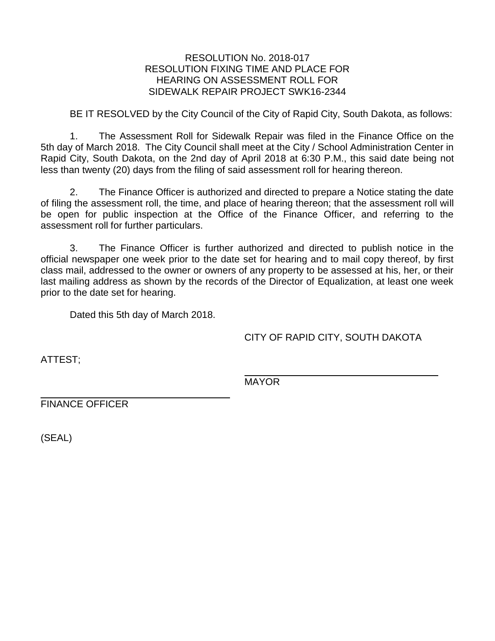## RESOLUTION No. 2018-017 RESOLUTION FIXING TIME AND PLACE FOR HEARING ON ASSESSMENT ROLL FOR SIDEWALK REPAIR PROJECT SWK16-2344

BE IT RESOLVED by the City Council of the City of Rapid City, South Dakota, as follows:

1. The Assessment Roll for Sidewalk Repair was filed in the Finance Office on the 5th day of March 2018. The City Council shall meet at the City / School Administration Center in Rapid City, South Dakota, on the 2nd day of April 2018 at 6:30 P.M., this said date being not less than twenty (20) days from the filing of said assessment roll for hearing thereon.

2. The Finance Officer is authorized and directed to prepare a Notice stating the date of filing the assessment roll, the time, and place of hearing thereon; that the assessment roll will be open for public inspection at the Office of the Finance Officer, and referring to the assessment roll for further particulars.

3. The Finance Officer is further authorized and directed to publish notice in the official newspaper one week prior to the date set for hearing and to mail copy thereof, by first class mail, addressed to the owner or owners of any property to be assessed at his, her, or their last mailing address as shown by the records of the Director of Equalization, at least one week prior to the date set for hearing.

Dated this 5th day of March 2018.

CITY OF RAPID CITY, SOUTH DAKOTA

ATTEST;

MAYOR

FINANCE OFFICER

(SEAL)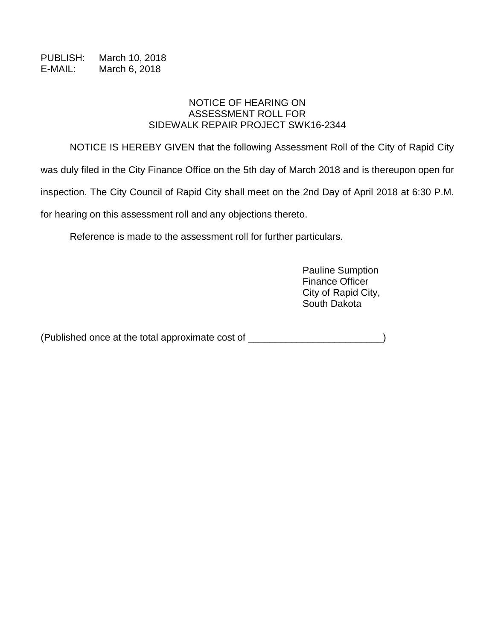PUBLISH: March 10, 2018 E-MAIL: March 6, 2018

## NOTICE OF HEARING ON ASSESSMENT ROLL FOR SIDEWALK REPAIR PROJECT SWK16-2344

NOTICE IS HEREBY GIVEN that the following Assessment Roll of the City of Rapid City

was duly filed in the City Finance Office on the 5th day of March 2018 and is thereupon open for

inspection. The City Council of Rapid City shall meet on the 2nd Day of April 2018 at 6:30 P.M.

for hearing on this assessment roll and any objections thereto.

Reference is made to the assessment roll for further particulars.

Pauline Sumption Finance Officer City of Rapid City, South Dakota

(Published once at the total approximate cost of \_\_\_\_\_\_\_\_\_\_\_\_\_\_\_\_\_\_\_\_\_\_\_\_\_)